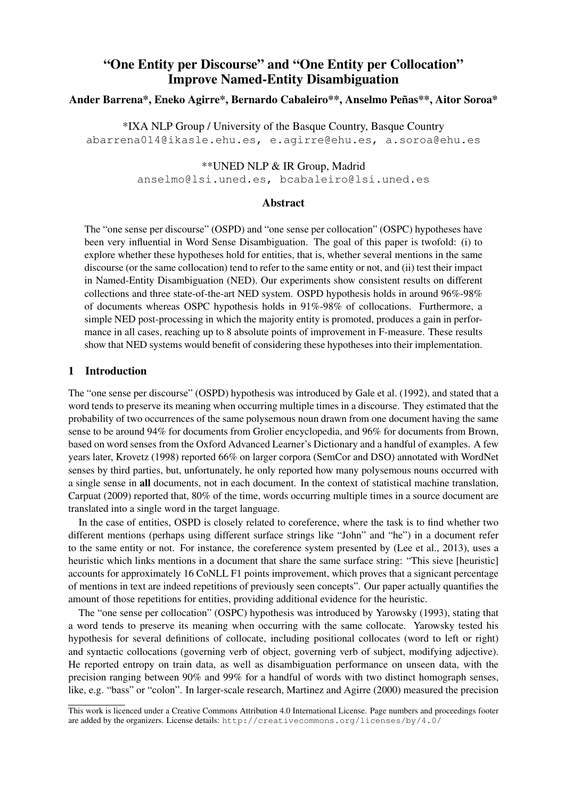# "One Entity per Discourse" and "One Entity per Collocation" Improve Named-Entity Disambiguation

# Ander Barrena\*, Eneko Agirre\*, Bernardo Cabaleiro\*\*, Anselmo Penas\*\*, Aitor Soroa\* ˜

\*IXA NLP Group / University of the Basque Country, Basque Country abarrena014@ikasle.ehu.es, e.agirre@ehu.es, a.soroa@ehu.es

#### \*\*UNED NLP & IR Group, Madrid

anselmo@lsi.uned.es, bcabaleiro@lsi.uned.es

## Abstract

The "one sense per discourse" (OSPD) and "one sense per collocation" (OSPC) hypotheses have been very influential in Word Sense Disambiguation. The goal of this paper is twofold: (i) to explore whether these hypotheses hold for entities, that is, whether several mentions in the same discourse (or the same collocation) tend to refer to the same entity or not, and (ii) test their impact in Named-Entity Disambiguation (NED). Our experiments show consistent results on different collections and three state-of-the-art NED system. OSPD hypothesis holds in around 96%-98% of documents whereas OSPC hypothesis holds in 91%-98% of collocations. Furthermore, a simple NED post-processing in which the majority entity is promoted, produces a gain in performance in all cases, reaching up to 8 absolute points of improvement in F-measure. These results show that NED systems would benefit of considering these hypotheses into their implementation.

## 1 Introduction

The "one sense per discourse" (OSPD) hypothesis was introduced by Gale et al. (1992), and stated that a word tends to preserve its meaning when occurring multiple times in a discourse. They estimated that the probability of two occurrences of the same polysemous noun drawn from one document having the same sense to be around 94% for documents from Grolier encyclopedia, and 96% for documents from Brown, based on word senses from the Oxford Advanced Learner's Dictionary and a handful of examples. A few years later, Krovetz (1998) reported 66% on larger corpora (SemCor and DSO) annotated with WordNet senses by third parties, but, unfortunately, he only reported how many polysemous nouns occurred with a single sense in all documents, not in each document. In the context of statistical machine translation, Carpuat (2009) reported that, 80% of the time, words occurring multiple times in a source document are translated into a single word in the target language.

In the case of entities, OSPD is closely related to coreference, where the task is to find whether two different mentions (perhaps using different surface strings like "John" and "he") in a document refer to the same entity or not. For instance, the coreference system presented by (Lee et al., 2013), uses a heuristic which links mentions in a document that share the same surface string: "This sieve [heuristic] accounts for approximately 16 CoNLL F1 points improvement, which proves that a signicant percentage of mentions in text are indeed repetitions of previously seen concepts". Our paper actually quantifies the amount of those repetitions for entities, providing additional evidence for the heuristic.

The "one sense per collocation" (OSPC) hypothesis was introduced by Yarowsky (1993), stating that a word tends to preserve its meaning when occurring with the same collocate. Yarowsky tested his hypothesis for several definitions of collocate, including positional collocates (word to left or right) and syntactic collocations (governing verb of object, governing verb of subject, modifying adjective). He reported entropy on train data, as well as disambiguation performance on unseen data, with the precision ranging between 90% and 99% for a handful of words with two distinct homograph senses, like, e.g. "bass" or "colon". In larger-scale research, Martinez and Agirre (2000) measured the precision

This work is licenced under a Creative Commons Attribution 4.0 International License. Page numbers and proceedings footer are added by the organizers. License details: http://creativecommons.org/licenses/by/4.0/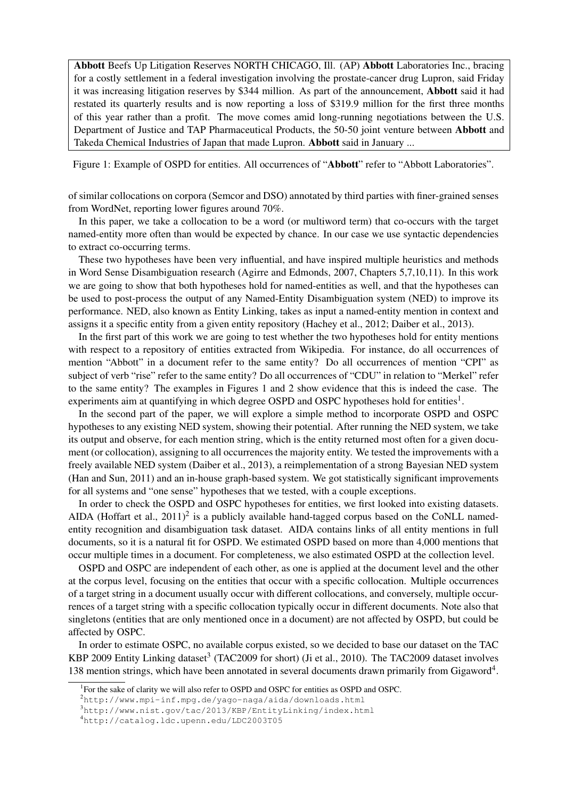Abbott Beefs Up Litigation Reserves NORTH CHICAGO, Ill. (AP) Abbott Laboratories Inc., bracing for a costly settlement in a federal investigation involving the prostate-cancer drug Lupron, said Friday it was increasing litigation reserves by \$344 million. As part of the announcement, Abbott said it had restated its quarterly results and is now reporting a loss of \$319.9 million for the first three months of this year rather than a profit. The move comes amid long-running negotiations between the U.S. Department of Justice and TAP Pharmaceutical Products, the 50-50 joint venture between Abbott and Takeda Chemical Industries of Japan that made Lupron. Abbott said in January ...

Figure 1: Example of OSPD for entities. All occurrences of "Abbott" refer to "Abbott Laboratories".

of similar collocations on corpora (Semcor and DSO) annotated by third parties with finer-grained senses from WordNet, reporting lower figures around 70%.

In this paper, we take a collocation to be a word (or multiword term) that co-occurs with the target named-entity more often than would be expected by chance. In our case we use syntactic dependencies to extract co-occurring terms.

These two hypotheses have been very influential, and have inspired multiple heuristics and methods in Word Sense Disambiguation research (Agirre and Edmonds, 2007, Chapters 5,7,10,11). In this work we are going to show that both hypotheses hold for named-entities as well, and that the hypotheses can be used to post-process the output of any Named-Entity Disambiguation system (NED) to improve its performance. NED, also known as Entity Linking, takes as input a named-entity mention in context and assigns it a specific entity from a given entity repository (Hachey et al., 2012; Daiber et al., 2013).

In the first part of this work we are going to test whether the two hypotheses hold for entity mentions with respect to a repository of entities extracted from Wikipedia. For instance, do all occurrences of mention "Abbott" in a document refer to the same entity? Do all occurrences of mention "CPI" as subject of verb "rise" refer to the same entity? Do all occurrences of "CDU" in relation to "Merkel" refer to the same entity? The examples in Figures 1 and 2 show evidence that this is indeed the case. The experiments aim at quantifying in which degree OSPD and OSPC hypotheses hold for entities<sup>1</sup>.

In the second part of the paper, we will explore a simple method to incorporate OSPD and OSPC hypotheses to any existing NED system, showing their potential. After running the NED system, we take its output and observe, for each mention string, which is the entity returned most often for a given document (or collocation), assigning to all occurrences the majority entity. We tested the improvements with a freely available NED system (Daiber et al., 2013), a reimplementation of a strong Bayesian NED system (Han and Sun, 2011) and an in-house graph-based system. We got statistically significant improvements for all systems and "one sense" hypotheses that we tested, with a couple exceptions.

In order to check the OSPD and OSPC hypotheses for entities, we first looked into existing datasets. AIDA (Hoffart et al.,  $2011$ )<sup>2</sup> is a publicly available hand-tagged corpus based on the CoNLL namedentity recognition and disambiguation task dataset. AIDA contains links of all entity mentions in full documents, so it is a natural fit for OSPD. We estimated OSPD based on more than 4,000 mentions that occur multiple times in a document. For completeness, we also estimated OSPD at the collection level.

OSPD and OSPC are independent of each other, as one is applied at the document level and the other at the corpus level, focusing on the entities that occur with a specific collocation. Multiple occurrences of a target string in a document usually occur with different collocations, and conversely, multiple occurrences of a target string with a specific collocation typically occur in different documents. Note also that singletons (entities that are only mentioned once in a document) are not affected by OSPD, but could be affected by OSPC.

In order to estimate OSPC, no available corpus existed, so we decided to base our dataset on the TAC KBP 2009 Entity Linking dataset<sup>3</sup> (TAC2009 for short) (Ji et al., 2010). The TAC2009 dataset involves 138 mention strings, which have been annotated in several documents drawn primarily from Gigaword<sup>4</sup>.

<sup>&</sup>lt;sup>1</sup>For the sake of clarity we will also refer to OSPD and OSPC for entities as OSPD and OSPC.

<sup>2</sup>http://www.mpi-inf.mpg.de/yago-naga/aida/downloads.html

<sup>3</sup>http://www.nist.gov/tac/2013/KBP/EntityLinking/index.html

<sup>4</sup>http://catalog.ldc.upenn.edu/LDC2003T05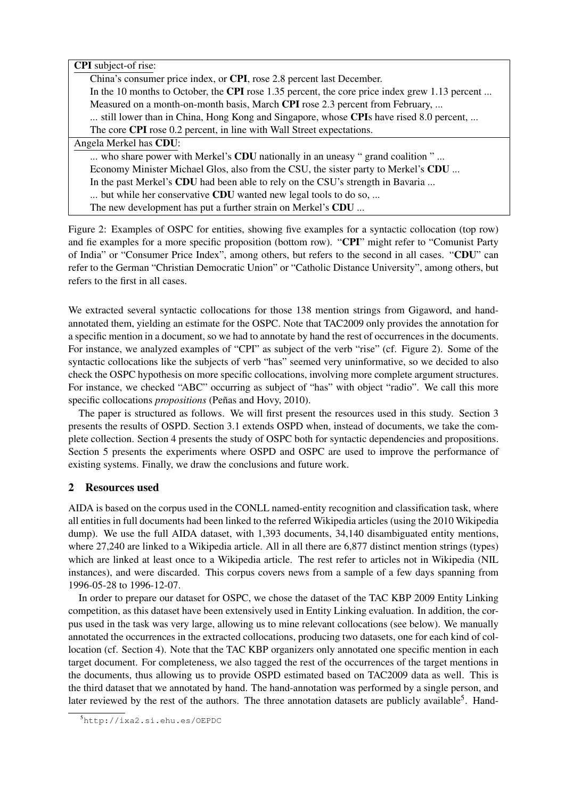| <b>CPI</b> subject-of rise:                                                                    |
|------------------------------------------------------------------------------------------------|
|                                                                                                |
| China's consumer price index, or CPI, rose 2.8 percent last December.                          |
| In the 10 months to October, the CPI rose 1.35 percent, the core price index grew 1.13 percent |
| Measured on a month-on-month basis, March CPI rose 2.3 percent from February,                  |
| still lower than in China, Hong Kong and Singapore, whose CPIs have rised 8.0 percent,         |
| The core <b>CPI</b> rose 0.2 percent, in line with Wall Street expectations.                   |
| Angela Merkel has CDU:                                                                         |
| who share power with Merkel's CDU nationally in an uneasy "grand coalition"                    |
| Economy Minister Michael Glos, also from the CSU, the sister party to Merkel's CDU             |
| In the past Merkel's CDU had been able to rely on the CSU's strength in Bavaria                |
| but while her conservative CDU wanted new legal tools to do so,                                |
| The new development has put a further strain on Merkel's CDU                                   |
|                                                                                                |

Figure 2: Examples of OSPC for entities, showing five examples for a syntactic collocation (top row) and fie examples for a more specific proposition (bottom row). "CPI" might refer to "Comunist Party of India" or "Consumer Price Index", among others, but refers to the second in all cases. "CDU" can refer to the German "Christian Democratic Union" or "Catholic Distance University", among others, but refers to the first in all cases.

We extracted several syntactic collocations for those 138 mention strings from Gigaword, and handannotated them, yielding an estimate for the OSPC. Note that TAC2009 only provides the annotation for a specific mention in a document, so we had to annotate by hand the rest of occurrences in the documents. For instance, we analyzed examples of "CPI" as subject of the verb "rise" (cf. Figure 2). Some of the syntactic collocations like the subjects of verb "has" seemed very uninformative, so we decided to also check the OSPC hypothesis on more specific collocations, involving more complete argument structures. For instance, we checked "ABC" occurring as subject of "has" with object "radio". We call this more specific collocations *propositions* (Peñas and Hovy, 2010).

The paper is structured as follows. We will first present the resources used in this study. Section 3 presents the results of OSPD. Section 3.1 extends OSPD when, instead of documents, we take the complete collection. Section 4 presents the study of OSPC both for syntactic dependencies and propositions. Section 5 presents the experiments where OSPD and OSPC are used to improve the performance of existing systems. Finally, we draw the conclusions and future work.

# 2 Resources used

AIDA is based on the corpus used in the CONLL named-entity recognition and classification task, where all entities in full documents had been linked to the referred Wikipedia articles (using the 2010 Wikipedia dump). We use the full AIDA dataset, with 1,393 documents, 34,140 disambiguated entity mentions, where 27,240 are linked to a Wikipedia article. All in all there are 6,877 distinct mention strings (types) which are linked at least once to a Wikipedia article. The rest refer to articles not in Wikipedia (NIL instances), and were discarded. This corpus covers news from a sample of a few days spanning from 1996-05-28 to 1996-12-07.

In order to prepare our dataset for OSPC, we chose the dataset of the TAC KBP 2009 Entity Linking competition, as this dataset have been extensively used in Entity Linking evaluation. In addition, the corpus used in the task was very large, allowing us to mine relevant collocations (see below). We manually annotated the occurrences in the extracted collocations, producing two datasets, one for each kind of collocation (cf. Section 4). Note that the TAC KBP organizers only annotated one specific mention in each target document. For completeness, we also tagged the rest of the occurrences of the target mentions in the documents, thus allowing us to provide OSPD estimated based on TAC2009 data as well. This is the third dataset that we annotated by hand. The hand-annotation was performed by a single person, and later reviewed by the rest of the authors. The three annotation datasets are publicly available<sup>5</sup>. Hand-

<sup>5</sup>http://ixa2.si.ehu.es/OEPDC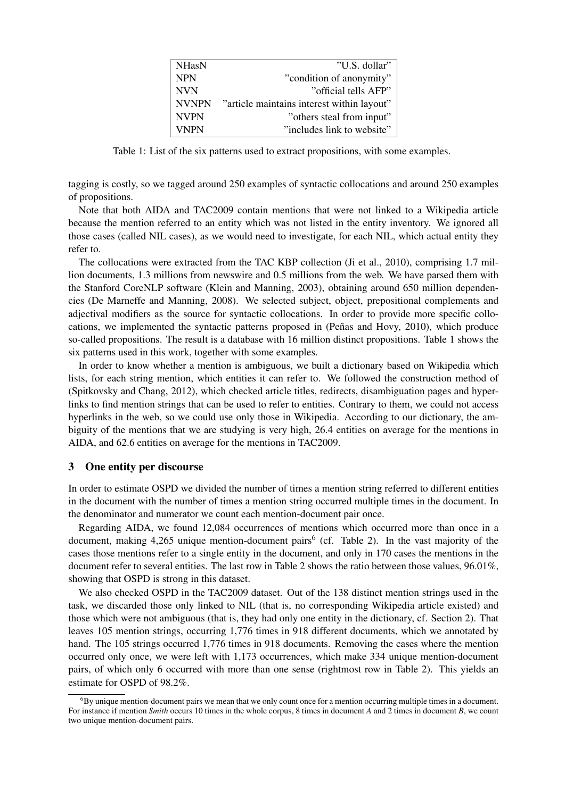| <b>NHasN</b> | "U.S. dollar"                              |
|--------------|--------------------------------------------|
| <b>NPN</b>   | "condition of anonymity"                   |
| <b>NVN</b>   | "official tells AFP"                       |
| <b>NVNPN</b> | "article maintains interest within layout" |
| <b>NVPN</b>  | "others steal from input"                  |
| <b>VNPN</b>  | "includes link to website"                 |
|              |                                            |

Table 1: List of the six patterns used to extract propositions, with some examples.

tagging is costly, so we tagged around 250 examples of syntactic collocations and around 250 examples of propositions.

Note that both AIDA and TAC2009 contain mentions that were not linked to a Wikipedia article because the mention referred to an entity which was not listed in the entity inventory. We ignored all those cases (called NIL cases), as we would need to investigate, for each NIL, which actual entity they refer to.

The collocations were extracted from the TAC KBP collection (Ji et al., 2010), comprising 1.7 million documents, 1.3 millions from newswire and 0.5 millions from the web. We have parsed them with the Stanford CoreNLP software (Klein and Manning, 2003), obtaining around 650 million dependencies (De Marneffe and Manning, 2008). We selected subject, object, prepositional complements and adjectival modifiers as the source for syntactic collocations. In order to provide more specific collocations, we implemented the syntactic patterns proposed in (Peñas and Hovy, 2010), which produce so-called propositions. The result is a database with 16 million distinct propositions. Table 1 shows the six patterns used in this work, together with some examples.

In order to know whether a mention is ambiguous, we built a dictionary based on Wikipedia which lists, for each string mention, which entities it can refer to. We followed the construction method of (Spitkovsky and Chang, 2012), which checked article titles, redirects, disambiguation pages and hyperlinks to find mention strings that can be used to refer to entities. Contrary to them, we could not access hyperlinks in the web, so we could use only those in Wikipedia. According to our dictionary, the ambiguity of the mentions that we are studying is very high, 26.4 entities on average for the mentions in AIDA, and 62.6 entities on average for the mentions in TAC2009.

# 3 One entity per discourse

In order to estimate OSPD we divided the number of times a mention string referred to different entities in the document with the number of times a mention string occurred multiple times in the document. In the denominator and numerator we count each mention-document pair once.

Regarding AIDA, we found 12,084 occurrences of mentions which occurred more than once in a document, making 4,265 unique mention-document pairs<sup>6</sup> (cf. Table 2). In the vast majority of the cases those mentions refer to a single entity in the document, and only in 170 cases the mentions in the document refer to several entities. The last row in Table 2 shows the ratio between those values, 96.01%, showing that OSPD is strong in this dataset.

We also checked OSPD in the TAC2009 dataset. Out of the 138 distinct mention strings used in the task, we discarded those only linked to NIL (that is, no corresponding Wikipedia article existed) and those which were not ambiguous (that is, they had only one entity in the dictionary, cf. Section 2). That leaves 105 mention strings, occurring 1,776 times in 918 different documents, which we annotated by hand. The 105 strings occurred 1,776 times in 918 documents. Removing the cases where the mention occurred only once, we were left with 1,173 occurrences, which make 334 unique mention-document pairs, of which only 6 occurred with more than one sense (rightmost row in Table 2). This yields an estimate for OSPD of 98.2%.

 $6By$  unique mention-document pairs we mean that we only count once for a mention occurring multiple times in a document. For instance if mention *Smith* occurs 10 times in the whole corpus, 8 times in document *A* and 2 times in document *B*, we count two unique mention-document pairs.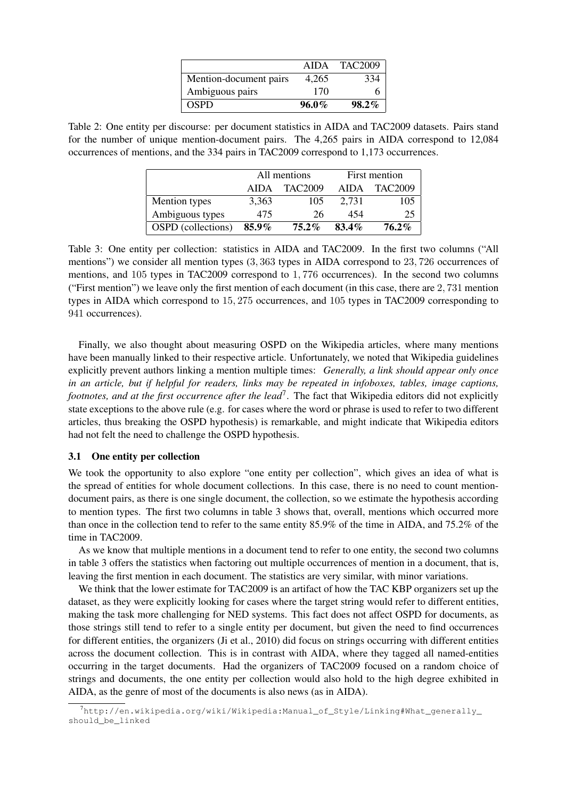|                        | AIDA     | TAC2009  |
|------------------------|----------|----------|
| Mention-document pairs | 4.265    | 334      |
| Ambiguous pairs        | 170      |          |
| <b>OSPD</b>            | $96.0\%$ | $98.2\%$ |

Table 2: One entity per discourse: per document statistics in AIDA and TAC2009 datasets. Pairs stand for the number of unique mention-document pairs. The 4,265 pairs in AIDA correspond to 12,084 occurrences of mentions, and the 334 pairs in TAC2009 correspond to 1,173 occurrences.

|                           |          | All mentions | First mention |                |  |
|---------------------------|----------|--------------|---------------|----------------|--|
|                           | AIDA     | TAC2009      | AIDA          | <b>TAC2009</b> |  |
| Mention types             | 3,363    | 105          | 2.731         | 105            |  |
| Ambiguous types           | 475      | 26           | 454           | 25             |  |
| <b>OSPD</b> (collections) | $85.9\%$ | $75.2\%$     | 83.4%         | $76.2\%$       |  |

Table 3: One entity per collection: statistics in AIDA and TAC2009. In the first two columns ("All mentions") we consider all mention types (3, 363 types in AIDA correspond to 23, 726 occurrences of mentions, and 105 types in TAC2009 correspond to 1, 776 occurrences). In the second two columns ("First mention") we leave only the first mention of each document (in this case, there are 2, 731 mention types in AIDA which correspond to 15, 275 occurrences, and 105 types in TAC2009 corresponding to 941 occurrences).

Finally, we also thought about measuring OSPD on the Wikipedia articles, where many mentions have been manually linked to their respective article. Unfortunately, we noted that Wikipedia guidelines explicitly prevent authors linking a mention multiple times: *Generally, a link should appear only once in an article, but if helpful for readers, links may be repeated in infoboxes, tables, image captions, footnotes, and at the first occurrence after the lead*<sup>7</sup> . The fact that Wikipedia editors did not explicitly state exceptions to the above rule (e.g. for cases where the word or phrase is used to refer to two different articles, thus breaking the OSPD hypothesis) is remarkable, and might indicate that Wikipedia editors had not felt the need to challenge the OSPD hypothesis.

#### 3.1 One entity per collection

We took the opportunity to also explore "one entity per collection", which gives an idea of what is the spread of entities for whole document collections. In this case, there is no need to count mentiondocument pairs, as there is one single document, the collection, so we estimate the hypothesis according to mention types. The first two columns in table 3 shows that, overall, mentions which occurred more than once in the collection tend to refer to the same entity 85.9% of the time in AIDA, and 75.2% of the time in TAC2009.

As we know that multiple mentions in a document tend to refer to one entity, the second two columns in table 3 offers the statistics when factoring out multiple occurrences of mention in a document, that is, leaving the first mention in each document. The statistics are very similar, with minor variations.

We think that the lower estimate for TAC2009 is an artifact of how the TAC KBP organizers set up the dataset, as they were explicitly looking for cases where the target string would refer to different entities, making the task more challenging for NED systems. This fact does not affect OSPD for documents, as those strings still tend to refer to a single entity per document, but given the need to find occurrences for different entities, the organizers (Ji et al., 2010) did focus on strings occurring with different entities across the document collection. This is in contrast with AIDA, where they tagged all named-entities occurring in the target documents. Had the organizers of TAC2009 focused on a random choice of strings and documents, the one entity per collection would also hold to the high degree exhibited in AIDA, as the genre of most of the documents is also news (as in AIDA).

 $^7$ http://en.wikipedia.org/wiki/Wikipedia:Manual\_of\_Style/Linking#What\_generally\_ should\_be\_linked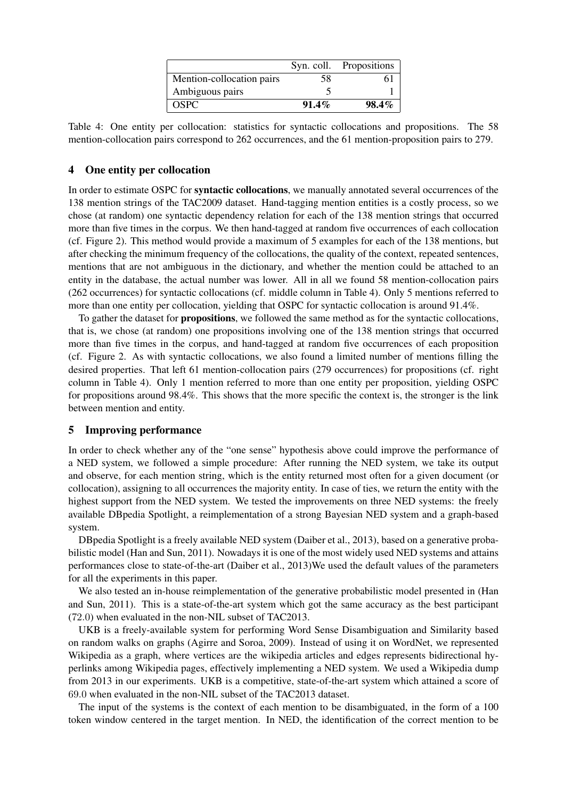|                           |          | Syn. coll. Propositions |
|---------------------------|----------|-------------------------|
| Mention-collocation pairs | 58       | 61                      |
| Ambiguous pairs           |          |                         |
| <b>OSPC</b>               | $91.4\%$ | $98.4\%$                |

Table 4: One entity per collocation: statistics for syntactic collocations and propositions. The 58 mention-collocation pairs correspond to 262 occurrences, and the 61 mention-proposition pairs to 279.

#### 4 One entity per collocation

In order to estimate OSPC for **syntactic collocations**, we manually annotated several occurrences of the 138 mention strings of the TAC2009 dataset. Hand-tagging mention entities is a costly process, so we chose (at random) one syntactic dependency relation for each of the 138 mention strings that occurred more than five times in the corpus. We then hand-tagged at random five occurrences of each collocation (cf. Figure 2). This method would provide a maximum of 5 examples for each of the 138 mentions, but after checking the minimum frequency of the collocations, the quality of the context, repeated sentences, mentions that are not ambiguous in the dictionary, and whether the mention could be attached to an entity in the database, the actual number was lower. All in all we found 58 mention-collocation pairs (262 occurrences) for syntactic collocations (cf. middle column in Table 4). Only 5 mentions referred to more than one entity per collocation, yielding that OSPC for syntactic collocation is around 91.4%.

To gather the dataset for propositions, we followed the same method as for the syntactic collocations, that is, we chose (at random) one propositions involving one of the 138 mention strings that occurred more than five times in the corpus, and hand-tagged at random five occurrences of each proposition (cf. Figure 2. As with syntactic collocations, we also found a limited number of mentions filling the desired properties. That left 61 mention-collocation pairs (279 occurrences) for propositions (cf. right column in Table 4). Only 1 mention referred to more than one entity per proposition, yielding OSPC for propositions around 98.4%. This shows that the more specific the context is, the stronger is the link between mention and entity.

#### 5 Improving performance

In order to check whether any of the "one sense" hypothesis above could improve the performance of a NED system, we followed a simple procedure: After running the NED system, we take its output and observe, for each mention string, which is the entity returned most often for a given document (or collocation), assigning to all occurrences the majority entity. In case of ties, we return the entity with the highest support from the NED system. We tested the improvements on three NED systems: the freely available DBpedia Spotlight, a reimplementation of a strong Bayesian NED system and a graph-based system.

DBpedia Spotlight is a freely available NED system (Daiber et al., 2013), based on a generative probabilistic model (Han and Sun, 2011). Nowadays it is one of the most widely used NED systems and attains performances close to state-of-the-art (Daiber et al., 2013)We used the default values of the parameters for all the experiments in this paper.

We also tested an in-house reimplementation of the generative probabilistic model presented in (Han and Sun, 2011). This is a state-of-the-art system which got the same accuracy as the best participant (72.0) when evaluated in the non-NIL subset of TAC2013.

UKB is a freely-available system for performing Word Sense Disambiguation and Similarity based on random walks on graphs (Agirre and Soroa, 2009). Instead of using it on WordNet, we represented Wikipedia as a graph, where vertices are the wikipedia articles and edges represents bidirectional hyperlinks among Wikipedia pages, effectively implementing a NED system. We used a Wikipedia dump from 2013 in our experiments. UKB is a competitive, state-of-the-art system which attained a score of 69.0 when evaluated in the non-NIL subset of the TAC2013 dataset.

The input of the systems is the context of each mention to be disambiguated, in the form of a 100 token window centered in the target mention. In NED, the identification of the correct mention to be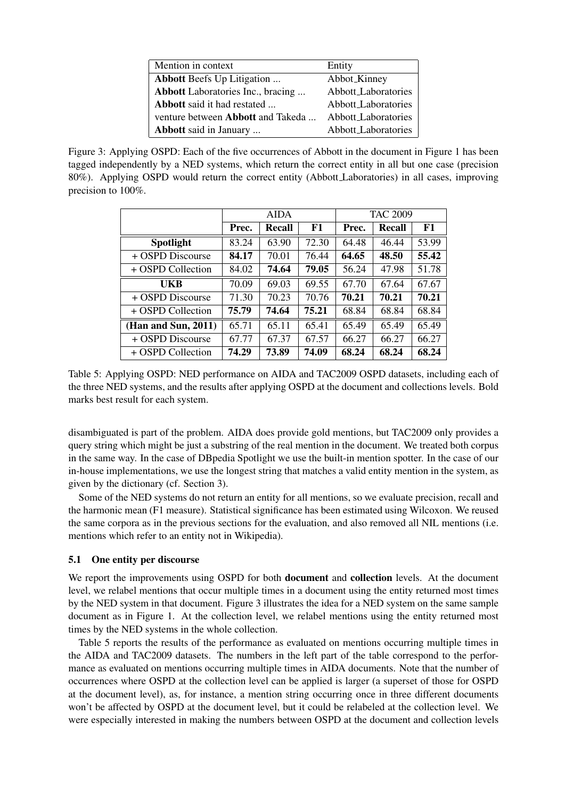| Mention in context                | Entity              |
|-----------------------------------|---------------------|
| <b>Abbott</b> Beefs Up Litigation | Abbot_Kinney        |
| Abbott Laboratories Inc., bracing | Abbott_Laboratories |
| Abbott said it had restated       | Abbott_Laboratories |
| venture between Abbott and Takeda | Abbott_Laboratories |
| Abbott said in January            | Abbott_Laboratories |

Figure 3: Applying OSPD: Each of the five occurrences of Abbott in the document in Figure 1 has been tagged independently by a NED systems, which return the correct entity in all but one case (precision 80%). Applying OSPD would return the correct entity (Abbott Laboratories) in all cases, improving precision to 100%.

|                     | <b>AIDA</b> |        |       |       | <b>TAC 2009</b> |       |
|---------------------|-------------|--------|-------|-------|-----------------|-------|
|                     | Prec.       | Recall | F1    | Prec. | <b>Recall</b>   | F1    |
| Spotlight           | 83.24       | 63.90  | 72.30 | 64.48 | 46.44           | 53.99 |
| + OSPD Discourse    | 84.17       | 70.01  | 76.44 | 64.65 | 48.50           | 55.42 |
| + OSPD Collection   | 84.02       | 74.64  | 79.05 | 56.24 | 47.98           | 51.78 |
| UKB                 | 70.09       | 69.03  | 69.55 | 67.70 | 67.64           | 67.67 |
| + OSPD Discourse    | 71.30       | 70.23  | 70.76 | 70.21 | 70.21           | 70.21 |
| + OSPD Collection   | 75.79       | 74.64  | 75.21 | 68.84 | 68.84           | 68.84 |
| (Han and Sun, 2011) | 65.71       | 65.11  | 65.41 | 65.49 | 65.49           | 65.49 |
| + OSPD Discourse    | 67.77       | 67.37  | 67.57 | 66.27 | 66.27           | 66.27 |
| + OSPD Collection   | 74.29       | 73.89  | 74.09 | 68.24 | 68.24           | 68.24 |

Table 5: Applying OSPD: NED performance on AIDA and TAC2009 OSPD datasets, including each of the three NED systems, and the results after applying OSPD at the document and collections levels. Bold marks best result for each system.

disambiguated is part of the problem. AIDA does provide gold mentions, but TAC2009 only provides a query string which might be just a substring of the real mention in the document. We treated both corpus in the same way. In the case of DBpedia Spotlight we use the built-in mention spotter. In the case of our in-house implementations, we use the longest string that matches a valid entity mention in the system, as given by the dictionary (cf. Section 3).

Some of the NED systems do not return an entity for all mentions, so we evaluate precision, recall and the harmonic mean (F1 measure). Statistical significance has been estimated using Wilcoxon. We reused the same corpora as in the previous sections for the evaluation, and also removed all NIL mentions (i.e. mentions which refer to an entity not in Wikipedia).

# 5.1 One entity per discourse

We report the improvements using OSPD for both **document** and **collection** levels. At the document level, we relabel mentions that occur multiple times in a document using the entity returned most times by the NED system in that document. Figure 3 illustrates the idea for a NED system on the same sample document as in Figure 1. At the collection level, we relabel mentions using the entity returned most times by the NED systems in the whole collection.

Table 5 reports the results of the performance as evaluated on mentions occurring multiple times in the AIDA and TAC2009 datasets. The numbers in the left part of the table correspond to the performance as evaluated on mentions occurring multiple times in AIDA documents. Note that the number of occurrences where OSPD at the collection level can be applied is larger (a superset of those for OSPD at the document level), as, for instance, a mention string occurring once in three different documents won't be affected by OSPD at the document level, but it could be relabeled at the collection level. We were especially interested in making the numbers between OSPD at the document and collection levels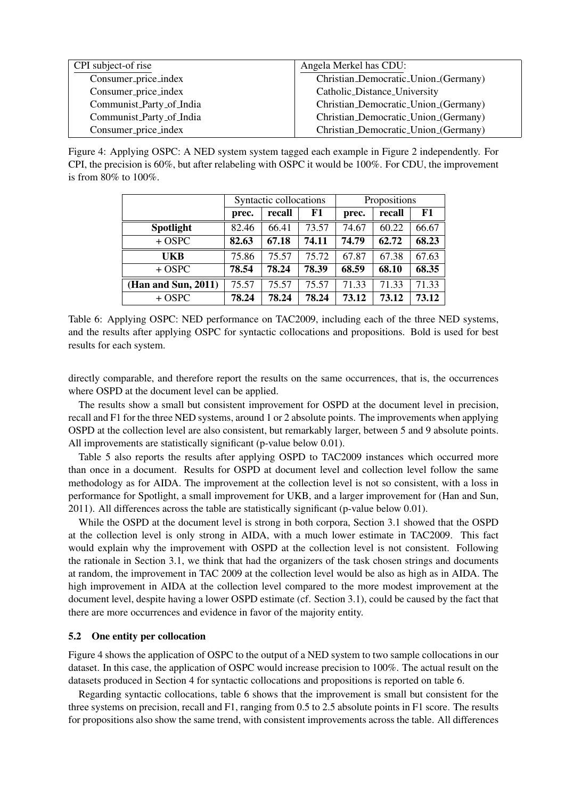| CPI subject-of rise      | Angela Merkel has CDU:               |
|--------------------------|--------------------------------------|
| Consumer_price_index     | Christian_Democratic_Union_(Germany) |
| Consumer_price_index     | Catholic_Distance_University         |
| Communist_Party_of_India | Christian_Democratic_Union_(Germany) |
| Communist_Party_of_India | Christian_Democratic_Union_(Germany) |
| Consumer_price_index     | Christian_Democratic_Union_(Germany) |

Figure 4: Applying OSPC: A NED system system tagged each example in Figure 2 independently. For CPI, the precision is 60%, but after relabeling with OSPC it would be 100%. For CDU, the improvement is from 80% to 100%.

|                        | Syntactic collocations |        |       | Propositions |        |       |
|------------------------|------------------------|--------|-------|--------------|--------|-------|
|                        | prec.                  | recall | F1    | prec.        | recall | F1    |
| <b>Spotlight</b>       | 82.46                  | 66.41  | 73.57 | 74.67        | 60.22  | 66.67 |
| $+$ OSPC               | 82.63                  | 67.18  | 74.11 | 74.79        | 62.72  | 68.23 |
| <b>UKB</b>             | 75.86                  | 75.57  | 75.72 | 67.87        | 67.38  | 67.63 |
| $+$ OSPC               | 78.54                  | 78.24  | 78.39 | 68.59        | 68.10  | 68.35 |
| (Han and Sun, $2011$ ) | 75.57                  | 75.57  | 75.57 | 71.33        | 71.33  | 71.33 |
| $+$ OSPC               | 78.24                  | 78.24  | 78.24 | 73.12        | 73.12  | 73.12 |

Table 6: Applying OSPC: NED performance on TAC2009, including each of the three NED systems, and the results after applying OSPC for syntactic collocations and propositions. Bold is used for best results for each system.

directly comparable, and therefore report the results on the same occurrences, that is, the occurrences where OSPD at the document level can be applied.

The results show a small but consistent improvement for OSPD at the document level in precision, recall and F1 for the three NED systems, around 1 or 2 absolute points. The improvements when applying OSPD at the collection level are also consistent, but remarkably larger, between 5 and 9 absolute points. All improvements are statistically significant (p-value below 0.01).

Table 5 also reports the results after applying OSPD to TAC2009 instances which occurred more than once in a document. Results for OSPD at document level and collection level follow the same methodology as for AIDA. The improvement at the collection level is not so consistent, with a loss in performance for Spotlight, a small improvement for UKB, and a larger improvement for (Han and Sun, 2011). All differences across the table are statistically significant (p-value below 0.01).

While the OSPD at the document level is strong in both corpora, Section 3.1 showed that the OSPD at the collection level is only strong in AIDA, with a much lower estimate in TAC2009. This fact would explain why the improvement with OSPD at the collection level is not consistent. Following the rationale in Section 3.1, we think that had the organizers of the task chosen strings and documents at random, the improvement in TAC 2009 at the collection level would be also as high as in AIDA. The high improvement in AIDA at the collection level compared to the more modest improvement at the document level, despite having a lower OSPD estimate (cf. Section 3.1), could be caused by the fact that there are more occurrences and evidence in favor of the majority entity.

# 5.2 One entity per collocation

Figure 4 shows the application of OSPC to the output of a NED system to two sample collocations in our dataset. In this case, the application of OSPC would increase precision to 100%. The actual result on the datasets produced in Section 4 for syntactic collocations and propositions is reported on table 6.

Regarding syntactic collocations, table 6 shows that the improvement is small but consistent for the three systems on precision, recall and F1, ranging from 0.5 to 2.5 absolute points in F1 score. The results for propositions also show the same trend, with consistent improvements across the table. All differences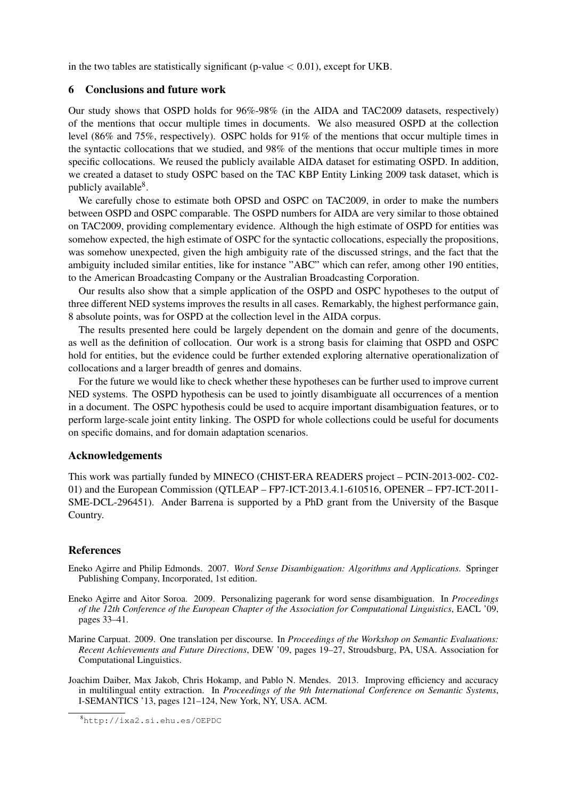in the two tables are statistically significant (p-value  $< 0.01$ ), except for UKB.

# 6 Conclusions and future work

Our study shows that OSPD holds for 96%-98% (in the AIDA and TAC2009 datasets, respectively) of the mentions that occur multiple times in documents. We also measured OSPD at the collection level (86% and 75%, respectively). OSPC holds for 91% of the mentions that occur multiple times in the syntactic collocations that we studied, and 98% of the mentions that occur multiple times in more specific collocations. We reused the publicly available AIDA dataset for estimating OSPD. In addition, we created a dataset to study OSPC based on the TAC KBP Entity Linking 2009 task dataset, which is publicly available<sup>8</sup>.

We carefully chose to estimate both OPSD and OSPC on TAC2009, in order to make the numbers between OSPD and OSPC comparable. The OSPD numbers for AIDA are very similar to those obtained on TAC2009, providing complementary evidence. Although the high estimate of OSPD for entities was somehow expected, the high estimate of OSPC for the syntactic collocations, especially the propositions, was somehow unexpected, given the high ambiguity rate of the discussed strings, and the fact that the ambiguity included similar entities, like for instance "ABC" which can refer, among other 190 entities, to the American Broadcasting Company or the Australian Broadcasting Corporation.

Our results also show that a simple application of the OSPD and OSPC hypotheses to the output of three different NED systems improves the results in all cases. Remarkably, the highest performance gain, 8 absolute points, was for OSPD at the collection level in the AIDA corpus.

The results presented here could be largely dependent on the domain and genre of the documents, as well as the definition of collocation. Our work is a strong basis for claiming that OSPD and OSPC hold for entities, but the evidence could be further extended exploring alternative operationalization of collocations and a larger breadth of genres and domains.

For the future we would like to check whether these hypotheses can be further used to improve current NED systems. The OSPD hypothesis can be used to jointly disambiguate all occurrences of a mention in a document. The OSPC hypothesis could be used to acquire important disambiguation features, or to perform large-scale joint entity linking. The OSPD for whole collections could be useful for documents on specific domains, and for domain adaptation scenarios.

# Acknowledgements

This work was partially funded by MINECO (CHIST-ERA READERS project – PCIN-2013-002- C02- 01) and the European Commission (QTLEAP – FP7-ICT-2013.4.1-610516, OPENER – FP7-ICT-2011- SME-DCL-296451). Ander Barrena is supported by a PhD grant from the University of the Basque Country.

#### References

- Eneko Agirre and Philip Edmonds. 2007. *Word Sense Disambiguation: Algorithms and Applications*. Springer Publishing Company, Incorporated, 1st edition.
- Eneko Agirre and Aitor Soroa. 2009. Personalizing pagerank for word sense disambiguation. In *Proceedings of the 12th Conference of the European Chapter of the Association for Computational Linguistics*, EACL '09, pages 33–41.
- Marine Carpuat. 2009. One translation per discourse. In *Proceedings of the Workshop on Semantic Evaluations: Recent Achievements and Future Directions*, DEW '09, pages 19–27, Stroudsburg, PA, USA. Association for Computational Linguistics.
- Joachim Daiber, Max Jakob, Chris Hokamp, and Pablo N. Mendes. 2013. Improving efficiency and accuracy in multilingual entity extraction. In *Proceedings of the 9th International Conference on Semantic Systems*, I-SEMANTICS '13, pages 121–124, New York, NY, USA. ACM.

<sup>8</sup>http://ixa2.si.ehu.es/OEPDC